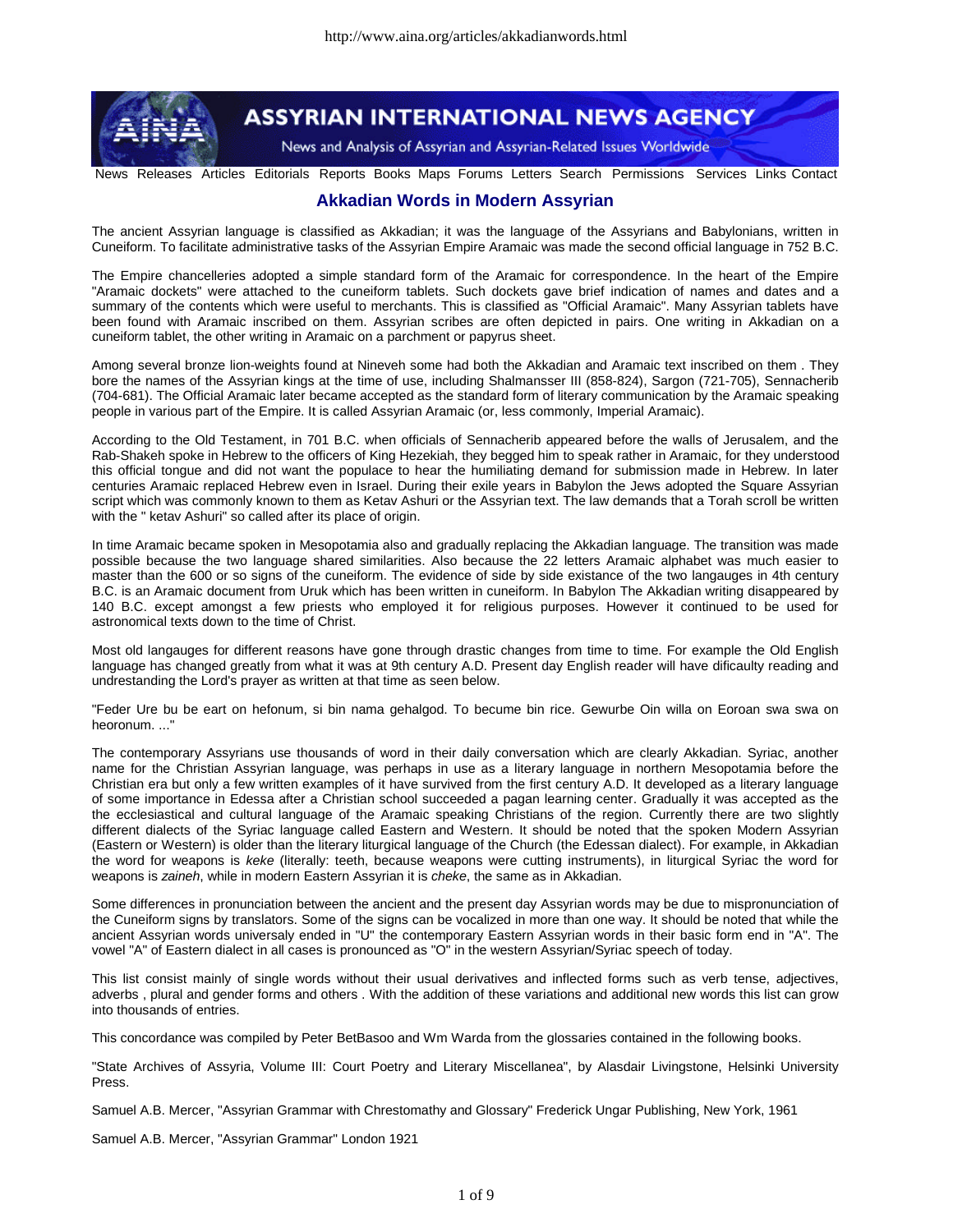

## **ASSYRIAN INTERNATIONAL NEWS AGENCY**

News and Analysis of Assyrian and Assyrian-Related Issues Worldwide

News Releases Articles Editorials Reports Books Maps Forums Letters Search Permissions Services Links Contact

## **Akkadian Words in Modern Assyrian**

The ancient Assyrian language is classified as Akkadian; it was the language of the Assyrians and Babylonians, written in Cuneiform. To facilitate administrative tasks of the Assyrian Empire Aramaic was made the second official language in 752 B.C.

The Empire chancelleries adopted a simple standard form of the Aramaic for correspondence. In the heart of the Empire "Aramaic dockets" were attached to the cuneiform tablets. Such dockets gave brief indication of names and dates and a summary of the contents which were useful to merchants. This is classified as "Official Aramaic". Many Assyrian tablets have been found with Aramaic inscribed on them. Assyrian scribes are often depicted in pairs. One writing in Akkadian on a cuneiform tablet, the other writing in Aramaic on a parchment or papyrus sheet.

Among several bronze lion-weights found at Nineveh some had both the Akkadian and Aramaic text inscribed on them . They bore the names of the Assyrian kings at the time of use, including Shalmansser III (858-824), Sargon (721-705), Sennacherib (704-681). The Official Aramaic later became accepted as the standard form of literary communication by the Aramaic speaking people in various part of the Empire. It is called Assyrian Aramaic (or, less commonly, Imperial Aramaic).

According to the Old Testament, in 701 B.C. when officials of Sennacherib appeared before the walls of Jerusalem, and the Rab-Shakeh spoke in Hebrew to the officers of King Hezekiah, they begged him to speak rather in Aramaic, for they understood this official tongue and did not want the populace to hear the humiliating demand for submission made in Hebrew. In later centuries Aramaic replaced Hebrew even in Israel. During their exile years in Babylon the Jews adopted the Square Assyrian script which was commonly known to them as Ketav Ashuri or the Assyrian text. The law demands that a Torah scroll be written with the " ketav Ashuri" so called after its place of origin.

In time Aramaic became spoken in Mesopotamia also and gradually replacing the Akkadian language. The transition was made possible because the two language shared similarities. Also because the 22 letters Aramaic alphabet was much easier to master than the 600 or so signs of the cuneiform. The evidence of side by side existance of the two langauges in 4th century B.C. is an Aramaic document from Uruk which has been written in cuneiform. In Babylon The Akkadian writing disappeared by 140 B.C. except amongst a few priests who employed it for religious purposes. However it continued to be used for astronomical texts down to the time of Christ.

Most old langauges for different reasons have gone through drastic changes from time to time. For example the Old English language has changed greatly from what it was at 9th century A.D. Present day English reader will have dificaulty reading and undrestanding the Lord's prayer as written at that time as seen below.

"Feder Ure bu be eart on hefonum, si bin nama gehalgod. To becume bin rice. Gewurbe Oin willa on Eoroan swa swa on heoronum<sup>"</sup>

The contemporary Assyrians use thousands of word in their daily conversation which are clearly Akkadian. Syriac, another name for the Christian Assyrian language, was perhaps in use as a literary language in northern Mesopotamia before the Christian era but only a few written examples of it have survived from the first century A.D. It developed as a literary language of some importance in Edessa after a Christian school succeeded a pagan learning center. Gradually it was accepted as the the ecclesiastical and cultural language of the Aramaic speaking Christians of the region. Currently there are two slightly different dialects of the Syriac language called Eastern and Western. It should be noted that the spoken Modern Assyrian (Eastern or Western) is older than the literary liturgical language of the Church (the Edessan dialect). For example, in Akkadian the word for weapons is *keke* (literally: teeth, because weapons were cutting instruments), in liturgical Syriac the word for weapons is *zaineh*, while in modern Eastern Assyrian it is *cheke*, the same as in Akkadian.

Some differences in pronunciation between the ancient and the present day Assyrian words may be due to mispronunciation of the Cuneiform signs by translators. Some of the signs can be vocalized in more than one way. It should be noted that while the ancient Assyrian words universaly ended in "U" the contemporary Eastern Assyrian words in their basic form end in "A". The vowel "A" of Eastern dialect in all cases is pronounced as "O" in the western Assyrian/Syriac speech of today.

This list consist mainly of single words without their usual derivatives and inflected forms such as verb tense, adjectives, adverbs , plural and gender forms and others . With the addition of these variations and additional new words this list can grow into thousands of entries.

This concordance was compiled by Peter BetBasoo and Wm Warda from the glossaries contained in the following books.

"State Archives of Assyria, Volume III: Court Poetry and Literary Miscellanea", by Alasdair Livingstone, Helsinki University Press.

Samuel A.B. Mercer, "Assyrian Grammar with Chrestomathy and Glossary" Frederick Ungar Publishing, New York, 1961

Samuel A.B. Mercer, "Assyrian Grammar" London 1921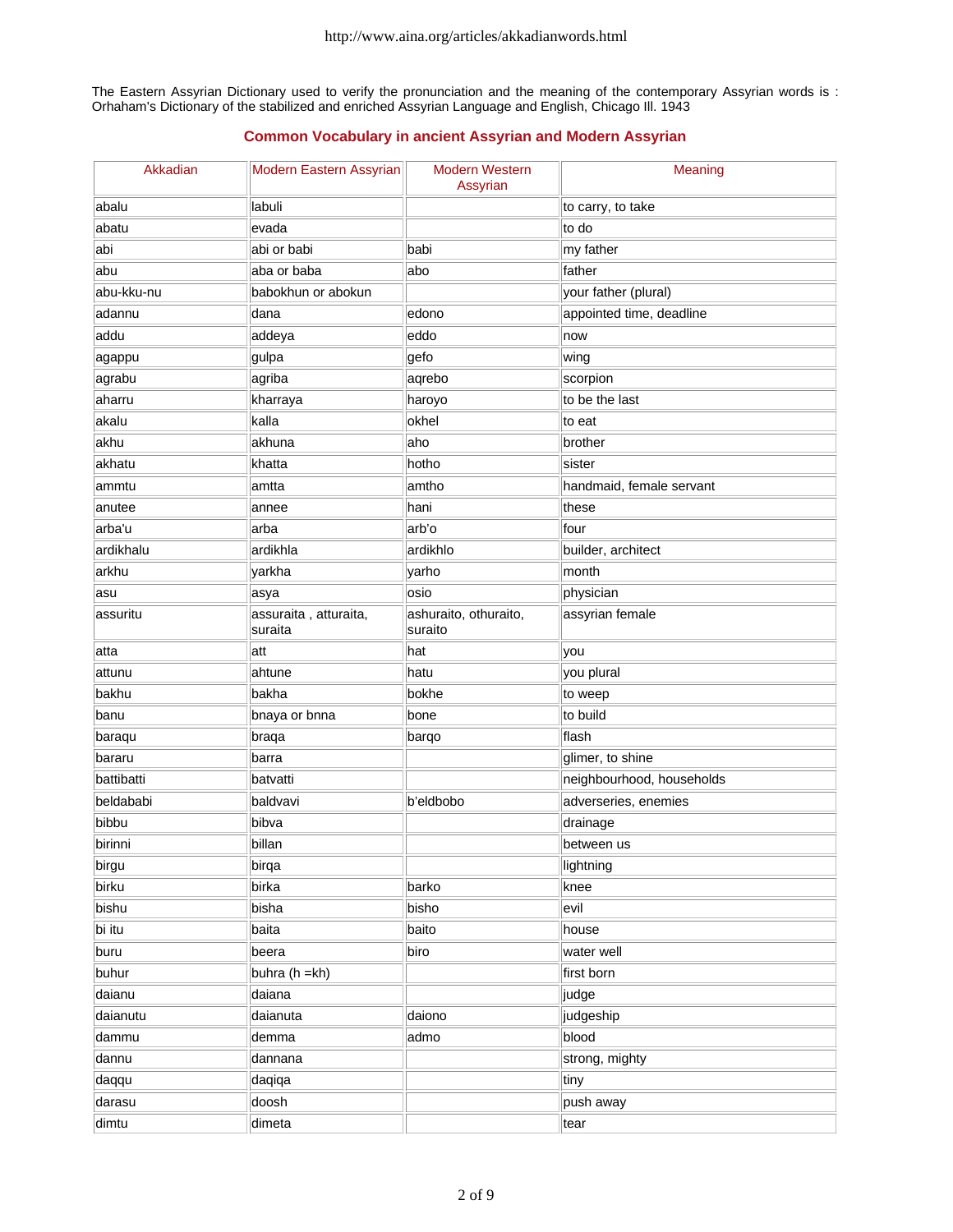The Eastern Assyrian Dictionary used to verify the pronunciation and the meaning of the contemporary Assyrian words is : Orhaham's Dictionary of the stabilized and enriched Assyrian Language and English, Chicago Ill. 1943

## **Common Vocabulary in ancient Assyrian and Modern Assyrian**

| Akkadian   | Modern Eastern Assyrian          | <b>Modern Western</b><br>Assyrian | Meaning                   |
|------------|----------------------------------|-----------------------------------|---------------------------|
| abalu      | labuli                           |                                   | to carry, to take         |
| abatu      | evada                            |                                   | to do                     |
| abi        | abi or babi                      | babi                              | my father                 |
| abu        | aba or baba                      | abo                               | father                    |
| abu-kku-nu | babokhun or abokun               |                                   | your father (plural)      |
| adannu     | dana                             | edono                             | appointed time, deadline  |
| addu       | addeya                           | eddo                              | now                       |
| agappu     | gulpa                            | gefo                              | wing                      |
| agrabu     | agriba                           | aqrebo                            | scorpion                  |
| aharru     | kharraya                         | haroyo                            | to be the last            |
| akalu      | kalla                            | okhel                             | to eat                    |
| akhu       | akhuna                           | aho                               | brother                   |
| akhatu     | khatta                           | hotho                             | sister                    |
| ammtu      | amtta                            | amtho                             | handmaid, female servant  |
| anutee     | annee                            | hani                              | these                     |
| arba'u     | arba                             | arb'o                             | four                      |
| ardikhalu  | ardikhla                         | ardikhlo                          | builder, architect        |
| arkhu      | yarkha                           | yarho                             | month                     |
| asu        | asya                             | osio                              | physician                 |
| assuritu   | assuraita, atturaita,<br>suraita | ashuraito, othuraito,<br>suraito  | assyrian female           |
| atta       | att                              | hat                               | you                       |
| attunu     | ahtune                           | hatu                              | you plural                |
| bakhu      | bakha                            | bokhe                             | to weep                   |
| banu       | bnaya or bnna                    | bone                              | to build                  |
| baraqu     | braqa                            | barqo                             | flash                     |
| bararu     | barra                            |                                   | glimer, to shine          |
| battibatti | batvatti                         |                                   | neighbourhood, households |
| beldababi  | baldvavi                         | b'eldbobo                         | adverseries, enemies      |
| bibbu      | bibva                            |                                   | drainage                  |
| birinni    | billan                           |                                   | between us                |
| birgu      | birqa                            |                                   | lightning                 |
| birku      | birka                            | barko                             | knee                      |
| bishu      | bisha                            | bisho                             | evil                      |
| bi itu     | baita                            | baito                             | house                     |
| buru       | beera                            | biro                              | water well                |
| buhur      | buhra (h =kh)                    |                                   | first born                |
| daianu     | daiana                           |                                   | judge                     |
| daianutu   | daianuta                         | daiono                            | judgeship                 |
| dammu      | demma                            | admo                              | blood                     |
| dannu      | dannana                          |                                   | strong, mighty            |
| daqqu      | daqiqa                           |                                   | tiny                      |
| darasu     | doosh                            |                                   | push away                 |
| dimtu      | dimeta                           |                                   | tear                      |
|            |                                  |                                   |                           |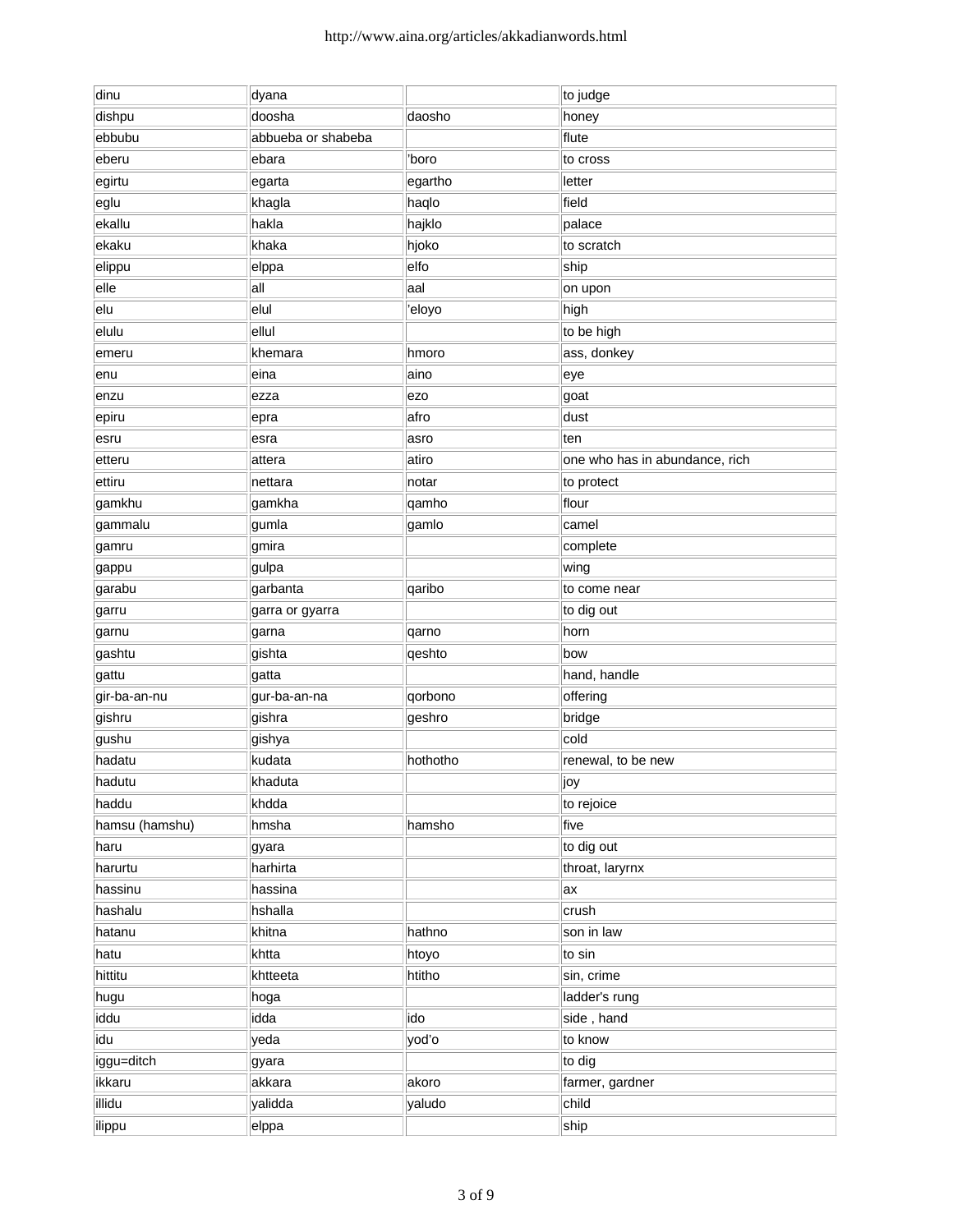| dinu           | dyana              |          | to judge                       |
|----------------|--------------------|----------|--------------------------------|
| dishpu         | doosha             | daosho   | honey                          |
| ebbubu         | abbueba or shabeba |          | flute                          |
| eberu          | ebara              | 'boro    | to cross                       |
| egirtu         | egarta             | egartho  | letter                         |
| eglu           | khagla             | haqlo    | field                          |
| ekallu         | hakla              | hajklo   | palace                         |
| ekaku          | khaka              | hjoko    | to scratch                     |
| elippu         | elppa              | elfo     | ship                           |
| elle           | all                | aal      | on upon                        |
| elu            | elul               | 'eloyo   | high                           |
| elulu          | ellul              |          | to be high                     |
| emeru          | khemara            | hmoro    | ass, donkey                    |
| enu            | eina               | aino     | eye                            |
| enzu           | ezza               | ezo      | goat                           |
| epiru          | epra               | afro     | dust                           |
| esru           | esra               | asro     | ten                            |
| etteru         | attera             | atiro    | one who has in abundance, rich |
| ettiru         | nettara            | notar    | to protect                     |
| gamkhu         | gamkha             | qamho    | flour                          |
| gammalu        | gumla              | gamlo    | camel                          |
| gamru          | gmira              |          | complete                       |
| gappu          | gulpa              |          | wing                           |
| garabu         | garbanta           | qaribo   | to come near                   |
| garru          | garra or gyarra    |          | to dig out                     |
| garnu          | garna              | qarno    | horn                           |
| gashtu         | gishta             | qeshto   | bow                            |
| gattu          | gatta              |          | hand, handle                   |
| gir-ba-an-nu   | gur-ba-an-na       | qorbono  | offering                       |
| gishru         | gishra             | geshro   | bridge                         |
| gushu          | gishya             |          | cold                           |
| hadatu         | kudata             | hothotho | renewal, to be new             |
| hadutu         | khaduta            |          | joy                            |
| haddu          | khdda              |          | to rejoice                     |
| hamsu (hamshu) | hmsha              | hamsho   | five                           |
| haru           | gyara              |          | to dig out                     |
| harurtu        | harhirta           |          | throat, laryrnx                |
| hassinu        | hassina            |          | ax                             |
| hashalu        | hshalla            |          | crush                          |
| hatanu         | khitna             | hathno   | son in law                     |
| hatu           | khtta              | htoyo    | to sin                         |
| hittitu        | khtteeta           | htitho   | sin, crime                     |
| hugu           | hoga               |          | ladder's rung                  |
| iddu           | idda               | ido      | side, hand                     |
| idu            | yeda               | yod'o    | to know                        |
| iggu=ditch     | gyara              |          | to dig                         |
| ikkaru         | akkara             | akoro    | farmer, gardner                |
| illidu         | yalidda            | yaludo   | child                          |
| ilippu         | elppa              |          | ship                           |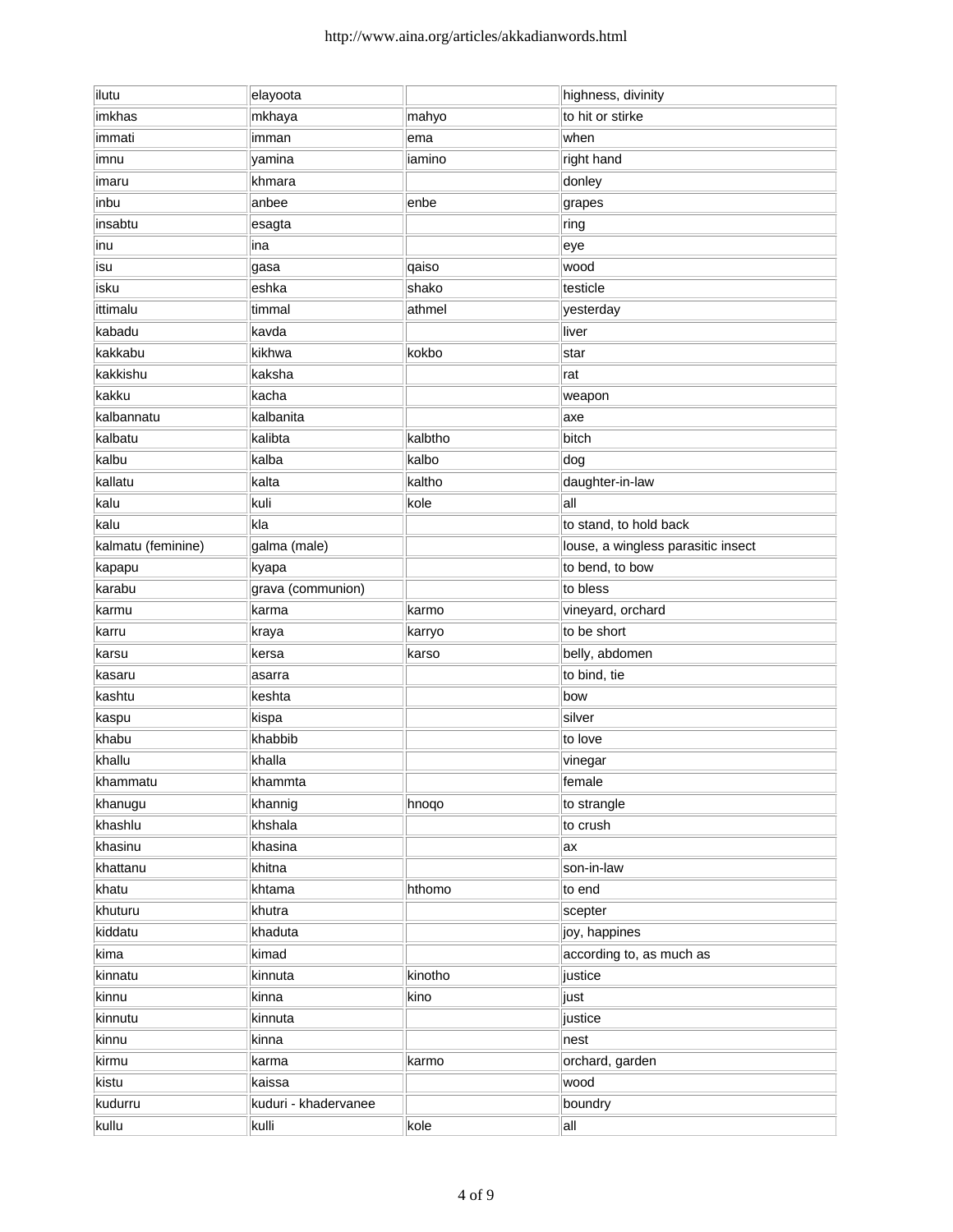| ilutu              | elayoota             |         | highness, divinity                 |
|--------------------|----------------------|---------|------------------------------------|
| imkhas             | mkhaya               | mahyo   | to hit or stirke                   |
| immati             | imman                | ema     | when                               |
| imnu               | yamina               | iamino  | right hand                         |
| imaru              | khmara               |         | donley                             |
| inbu               | anbee                | enbe    | grapes                             |
| insabtu            | esagta               |         | ring                               |
| inu                | ina                  |         | eye                                |
| isu                | gasa                 | qaiso   | wood                               |
| isku               | eshka                | shako   | testicle                           |
| ittimalu           | timmal               | athmel  | yesterday                          |
| kabadu             | kavda                |         | liver                              |
| kakkabu            | kikhwa               | kokbo   | star                               |
| kakkishu           | kaksha               |         | rat                                |
| kakku              | kacha                |         | weapon                             |
| kalbannatu         | kalbanita            |         | axe                                |
| kalbatu            | kalibta              | kalbtho | bitch                              |
| kalbu              | kalba                | kalbo   | dog                                |
| kallatu            | kalta                | kaltho  | daughter-in-law                    |
| kalu               | kuli                 | kole    | lall                               |
| kalu               | kla                  |         | to stand, to hold back             |
| kalmatu (feminine) | galma (male)         |         | louse, a wingless parasitic insect |
| kapapu             | kyapa                |         | to bend, to bow                    |
| karabu             | grava (communion)    |         | to bless                           |
| karmu              | karma                | karmo   | vineyard, orchard                  |
| karru              | kraya                | karryo  | to be short                        |
| karsu              | kersa                | karso   | belly, abdomen                     |
| kasaru             | asarra               |         | to bind, tie                       |
| kashtu             | keshta               |         | bow                                |
| kaspu              | kispa                |         | silver                             |
| khabu              | khabbib              |         | to love                            |
| khallu             | khalla               |         | vinegar                            |
| khammatu           | khammta              |         | female                             |
| khanugu            | khannig              | hnoqo   | to strangle                        |
| khashlu            | khshala              |         | to crush                           |
| khasinu            | khasina              |         | ax                                 |
| khattanu           | khitna               |         | son-in-law                         |
| khatu              | khtama               | hthomo  | to end                             |
| khuturu            | khutra               |         | scepter                            |
| kiddatu            | khaduta              |         | joy, happines                      |
| kima               | kimad                |         | according to, as much as           |
| kinnatu            | kinnuta              | kinotho | justice                            |
| kinnu              | kinna                | kino    | just                               |
| kinnutu            | kinnuta              |         | justice                            |
| kinnu              | kinna                |         | nest                               |
| kirmu              | karma                | karmo   | orchard, garden                    |
| kistu              | kaissa               |         | wood                               |
| kudurru            | kuduri - khadervanee |         | boundry                            |
| kullu              | kulli                | kole    | all                                |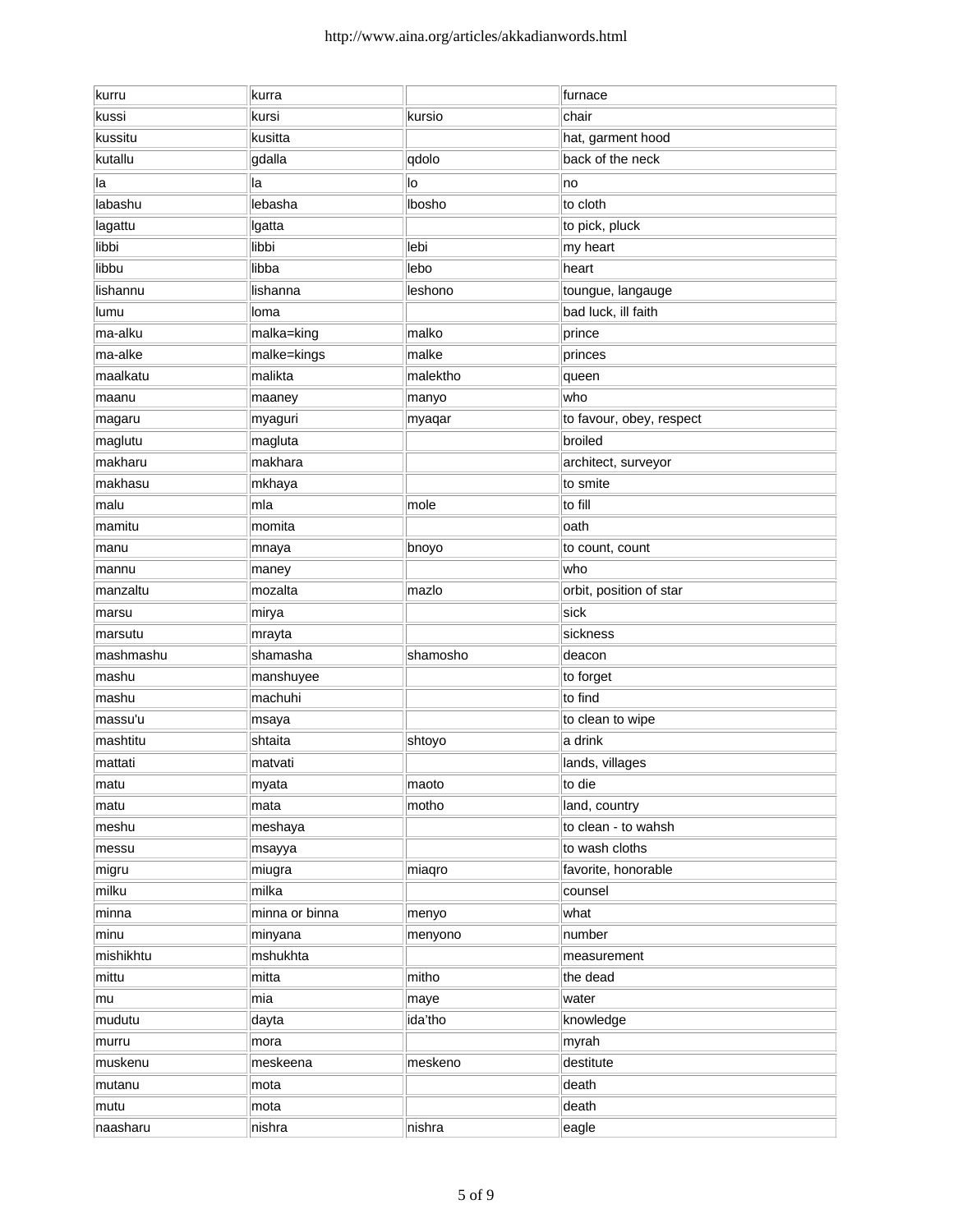| kurru     | kurra          |          | furnace                  |
|-----------|----------------|----------|--------------------------|
| kussi     | kursi          | kursio   | chair                    |
| kussitu   | kusitta        |          | hat, garment hood        |
| kutallu   | gdalla         | qdolo    | back of the neck         |
| la        | la             | lo       | no                       |
| labashu   | lebasha        | Ibosho   | to cloth                 |
| lagattu   | Igatta         |          | to pick, pluck           |
| libbi     | libbi          | lebi     | my heart                 |
| libbu     | libba          | lebo     | heart                    |
| lishannu  | lishanna       | leshono  | toungue, langauge        |
| lumu      | loma           |          | bad luck, ill faith      |
| ma-alku   | malka=king     | malko    | prince                   |
| ma-alke   | malke=kings    | malke    | princes                  |
| maalkatu  | malikta        | malektho | queen                    |
| maanu     | maaney         | manyo    | who                      |
| magaru    | myaguri        | myaqar   | to favour, obey, respect |
| maglutu   | magluta        |          | broiled                  |
| makharu   | makhara        |          | architect, surveyor      |
| makhasu   | mkhaya         |          | to smite                 |
| malu      | mla            | mole     | to fill                  |
| mamitu    | momita         |          | oath                     |
| manu      | mnaya          | bnoyo    | to count, count          |
| mannu     | maney          |          | who                      |
| manzaltu  | mozalta        | mazlo    | orbit, position of star  |
| marsu     | mirya          |          | sick                     |
| marsutu   | mrayta         |          | sickness                 |
| mashmashu | shamasha       | shamosho | deacon                   |
| mashu     | manshuyee      |          | to forget                |
| mashu     | machuhi        |          | to find                  |
| massu'u   | msaya          |          | to clean to wipe         |
| mashtitu  | shtaita        | shtoyo   | a drink                  |
| mattati   | matvati        |          | lands, villages          |
| matu      | myata          | maoto    | to die                   |
| matu      | mata           | motho    | land, country            |
| meshu     | meshaya        |          | to clean - to wahsh      |
| messu     | msayya         |          | to wash cloths           |
| migru     | miugra         | miagro   | favorite, honorable      |
| milku     | milka          |          | counsel                  |
| minna     | minna or binna | menyo    | what                     |
| minu      | minyana        | menyono  | number                   |
| mishikhtu | mshukhta       |          | measurement              |
| mittu     | mitta          | mitho    | the dead                 |
| mu        | mia            | maye     | water                    |
| mudutu    | dayta          | ida'tho  | knowledge                |
| murru     | mora           |          | myrah                    |
| muskenu   | meskeena       | meskeno  | destitute                |
| mutanu    | mota           |          | death                    |
| mutu      | mota           |          | death                    |
| naasharu  | nishra         | nishra   | eagle                    |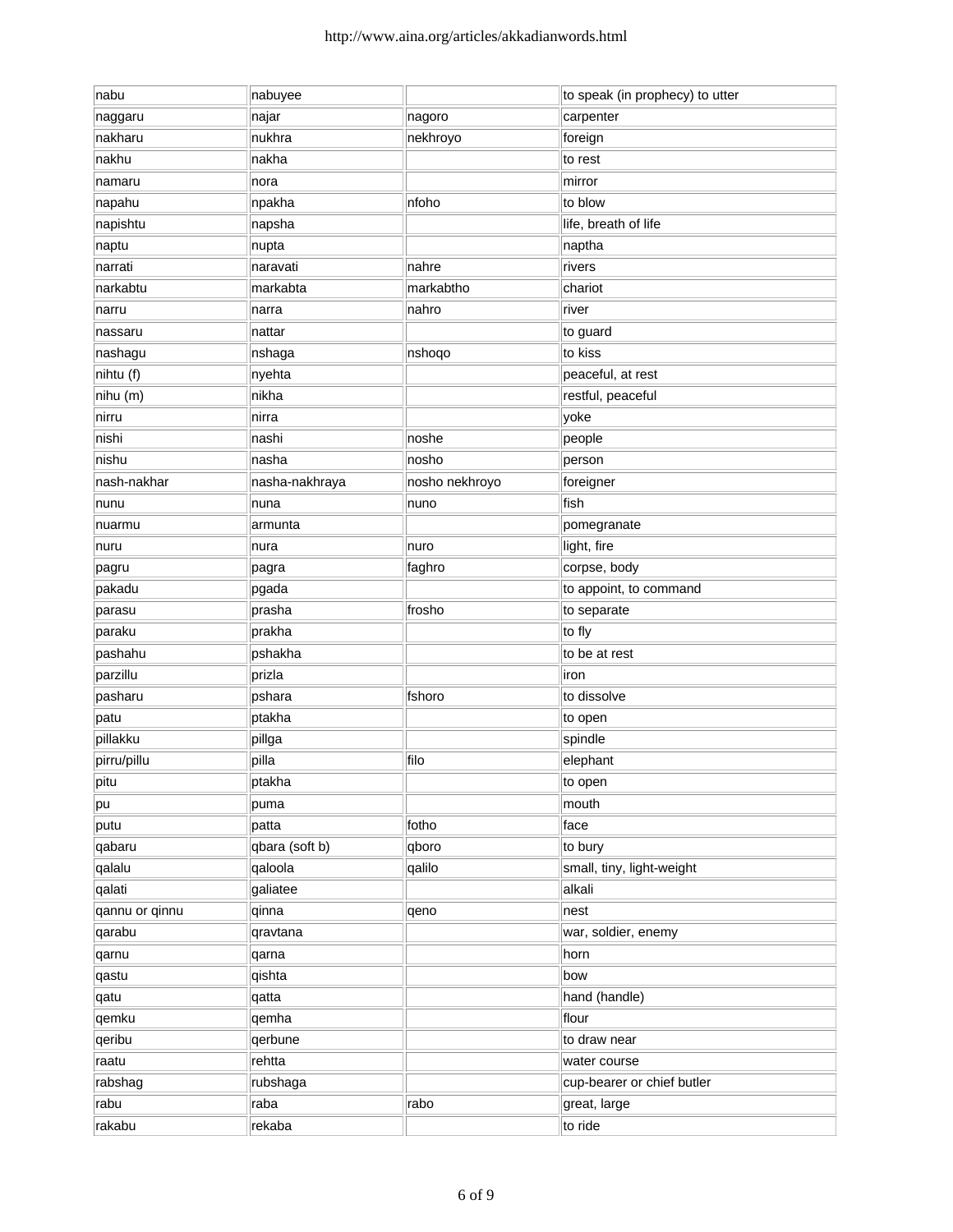| nabu           | nabuyee        |                | to speak (in prophecy) to utter |
|----------------|----------------|----------------|---------------------------------|
| naggaru        | najar          | nagoro         | carpenter                       |
| nakharu        | nukhra         | nekhroyo       | foreign                         |
| nakhu          | nakha          |                | to rest                         |
| namaru         | nora           |                | mirror                          |
| napahu         | npakha         | nfoho          | to blow                         |
| napishtu       | napsha         |                | life, breath of life            |
| naptu          | nupta          |                | naptha                          |
| narrati        | naravati       | nahre          | rivers                          |
| narkabtu       | markabta       | markabtho      | chariot                         |
| narru          | narra          | nahro          | river                           |
| nassaru        | nattar         |                | to guard                        |
| nashagu        | nshaga         | nshoqo         | to kiss                         |
| nihtu (f)      | nyehta         |                | peaceful, at rest               |
| nihu (m)       | nikha          |                | restful, peaceful               |
| nirru          | nirra          |                | yoke                            |
| nishi          | nashi          | noshe          | people                          |
| nishu          | nasha          | nosho          | person                          |
| nash-nakhar    | nasha-nakhraya | nosho nekhroyo | foreigner                       |
| nunu           | nuna           | nuno           | fish                            |
| nuarmu         | armunta        |                | pomegranate                     |
| nuru           | nura           | nuro           | light, fire                     |
| pagru          | pagra          | faghro         | corpse, body                    |
| pakadu         | pgada          |                | to appoint, to command          |
| parasu         | prasha         | frosho         | to separate                     |
| paraku         | prakha         |                | to fly                          |
| pashahu        | pshakha        |                | to be at rest                   |
| parzillu       | prizla         |                | iron                            |
| pasharu        | pshara         | fshoro         | to dissolve                     |
| patu           | ptakha         |                | to open                         |
| pillakku       | pillga         |                | spindle                         |
| pirru/pillu    | pilla          | filo           | elephant                        |
| pitu           | ptakha         |                | to open                         |
| pu             | puma           |                | mouth                           |
| putu           | patta          | fotho          | face                            |
| qabaru         | qbara (soft b) | qboro          | to bury                         |
| qalalu         | qaloola        | qalilo         | small, tiny, light-weight       |
| qalati         | galiatee       |                | alkali                          |
| qannu or qinnu | qinna          | qeno           | nest                            |
| qarabu         | qravtana       |                | war, soldier, enemy             |
| qarnu          | qarna          |                | horn                            |
| qastu          | qishta         |                | bow                             |
| qatu           | qatta          |                | hand (handle)                   |
| qemku          | qemha          |                | flour                           |
| qeribu         | qerbune        |                | to draw near                    |
| raatu          | rehtta         |                | water course                    |
| rabshag        | rubshaga       |                | cup-bearer or chief butler      |
| rabu           | raba           | rabo           | great, large                    |
| rakabu         | rekaba         |                | to ride                         |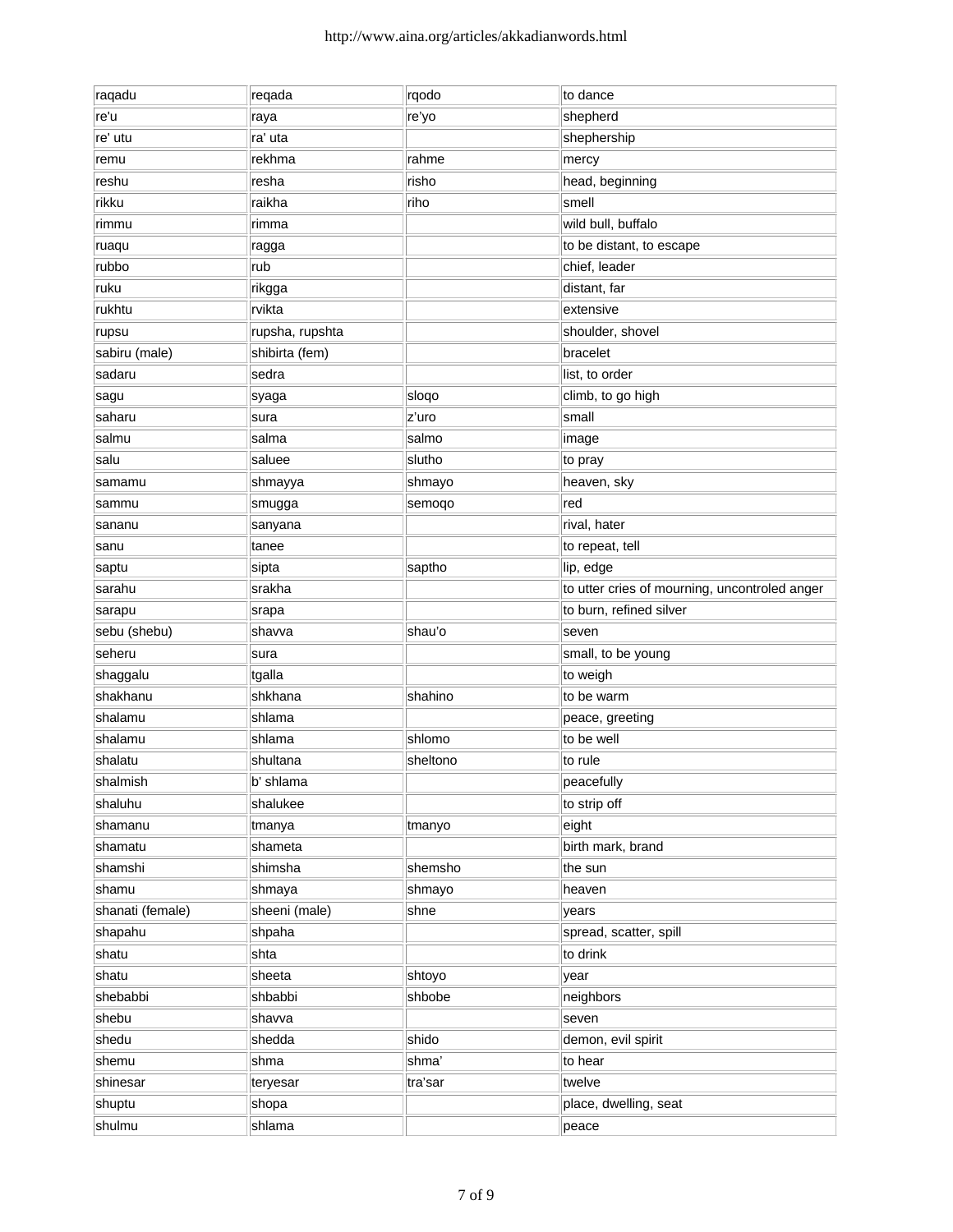| raqadu           | regada          | rqodo    | to dance                                      |
|------------------|-----------------|----------|-----------------------------------------------|
| re'u             | raya            | re'yo    | shepherd                                      |
| re' utu          | ra' uta         |          | shephership                                   |
| remu             | rekhma          | rahme    | mercy                                         |
| reshu            | resha           | risho    | head, beginning                               |
| rikku            | raikha          | riho     | smell                                         |
| rimmu            | rimma           |          | wild bull, buffalo                            |
| ruaqu            | ragga           |          | to be distant, to escape                      |
| rubbo            | rub             |          | chief, leader                                 |
| ruku             | rikgga          |          | distant, far                                  |
| rukhtu           | rvikta          |          | extensive                                     |
| rupsu            | rupsha, rupshta |          | shoulder, shovel                              |
| sabiru (male)    | shibirta (fem)  |          | bracelet                                      |
| sadaru           | sedra           |          | list, to order                                |
| sagu             | syaga           | sloqo    | climb, to go high                             |
| saharu           | sura            | z'uro    | small                                         |
| salmu            | salma           | salmo    | image                                         |
| salu             | saluee          | slutho   | to pray                                       |
| samamu           | shmayya         | shmayo   | heaven, sky                                   |
| sammu            | smugga          | semoqo   | red                                           |
| sananu           | sanyana         |          | rival, hater                                  |
| sanu             | tanee           |          | to repeat, tell                               |
| saptu            | sipta           | saptho   | lip, edge                                     |
| sarahu           | srakha          |          | to utter cries of mourning, uncontroled anger |
| sarapu           | srapa           |          | to burn, refined silver                       |
| sebu (shebu)     | shavva          | shau'o   | seven                                         |
| seheru           | sura            |          | small, to be young                            |
| shaggalu         | tgalla          |          | to weigh                                      |
| shakhanu         | shkhana         | shahino  | to be warm                                    |
| shalamu          | shlama          |          | peace, greeting                               |
| shalamu          | shlama          | shlomo   | to be well                                    |
| shalatu          | shultana        | sheltono | to rule                                       |
| shalmish         | b' shlama       |          | peacefully                                    |
| shaluhu          | shalukee        |          | to strip off                                  |
| shamanu          | tmanya          | tmanyo   | eight                                         |
| shamatu          | shameta         |          | birth mark, brand                             |
| shamshi          | shimsha         | shemsho  | the sun                                       |
| shamu            | shmaya          | shmayo   | heaven                                        |
| shanati (female) | sheeni (male)   | shne     | years                                         |
| shapahu          | shpaha          |          | spread, scatter, spill                        |
| shatu            | shta            |          | to drink                                      |
| shatu            | sheeta          | shtoyo   | year                                          |
| shebabbi         | shbabbi         | shbobe   | neighbors                                     |
| shebu            | shavva          |          | seven                                         |
| shedu            | shedda          | shido    | demon, evil spirit                            |
| shemu            | shma            | shma'    | to hear                                       |
| shinesar         | teryesar        | tra'sar  | twelve                                        |
| shuptu           | shopa           |          | place, dwelling, seat                         |
| shulmu           | shlama          |          | peace                                         |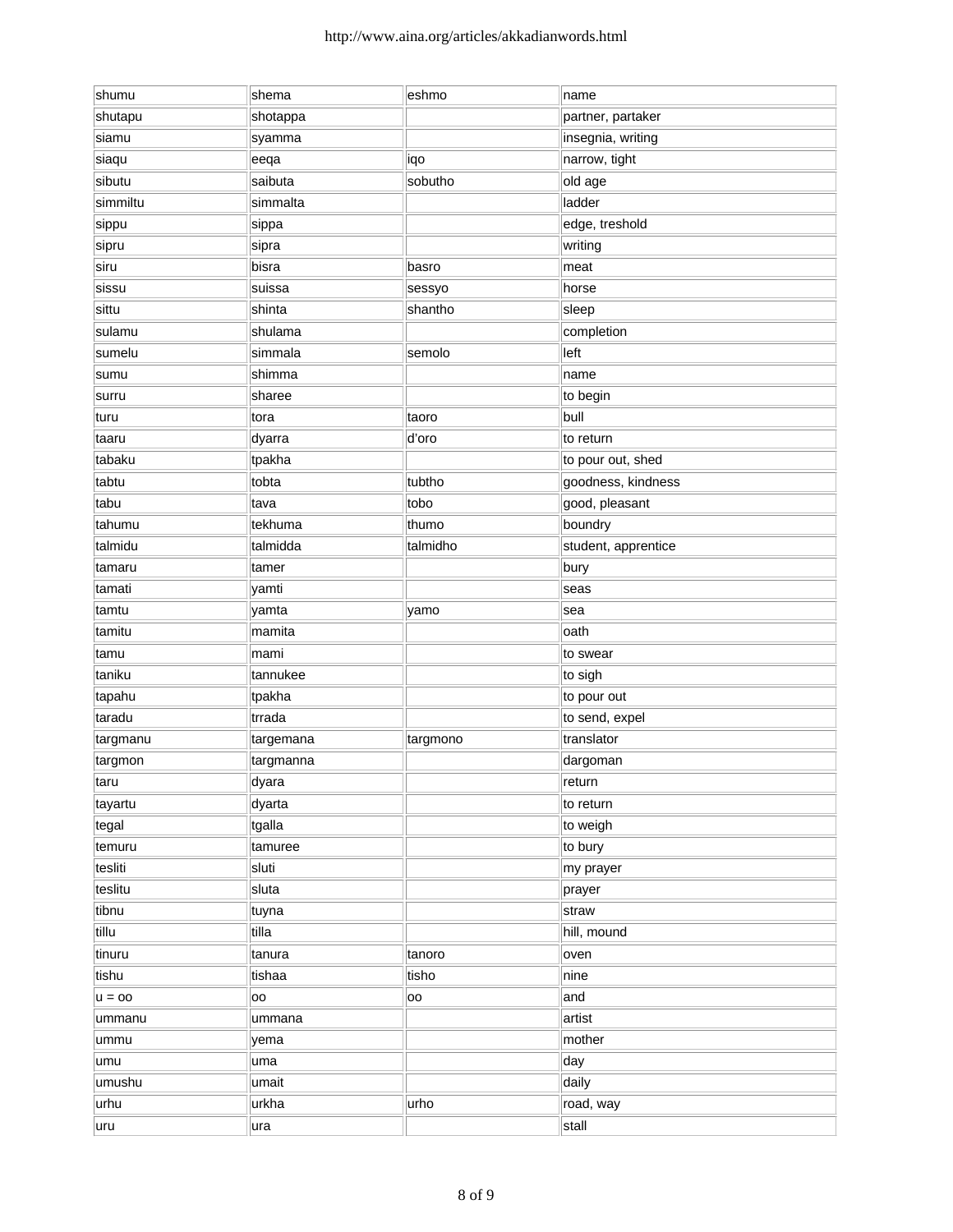| shumu    | shema     | eshmo    | name                |
|----------|-----------|----------|---------------------|
| shutapu  | shotappa  |          | partner, partaker   |
| siamu    | syamma    |          | insegnia, writing   |
| siaqu    | eeqa      | iqo      | narrow, tight       |
| sibutu   | saibuta   | sobutho  | old age             |
| simmiltu | simmalta  |          | ladder              |
| sippu    | sippa     |          | edge, treshold      |
| sipru    | sipra     |          | writing             |
| siru     | bisra     | basro    | meat                |
| sissu    | suissa    | sessyo   | horse               |
| sittu    | shinta    | shantho  | sleep               |
| sulamu   | shulama   |          | completion          |
| sumelu   | simmala   | semolo   | left                |
| sumu     | shimma    |          | name                |
| surru    | sharee    |          | to begin            |
| turu     | tora      | taoro    | bull                |
| taaru    | dyarra    | d'oro    | to return           |
| tabaku   | tpakha    |          | to pour out, shed   |
| tabtu    | tobta     | tubtho   | goodness, kindness  |
| tabu     | tava      | tobo     | good, pleasant      |
| tahumu   | tekhuma   | thumo    | boundry             |
| talmidu  | talmidda  | talmidho | student, apprentice |
| tamaru   | tamer     |          | bury                |
| tamati   | yamti     |          | seas                |
| tamtu    | yamta     | yamo     | sea                 |
| tamitu   | mamita    |          | oath                |
| tamu     | mami      |          | to swear            |
| taniku   | tannukee  |          | to sigh             |
| tapahu   | tpakha    |          | to pour out         |
| taradu   | trrada    |          | to send, expel      |
| targmanu | targemana | targmono | translator          |
| targmon  | targmanna |          | dargoman            |
| taru     | dyara     |          | return              |
| tayartu  | dyarta    |          | to return           |
| tegal    | tgalla    |          | to weigh            |
| temuru   | tamuree   |          | to bury             |
| tesliti  | sluti     |          | my prayer           |
| teslitu  | sluta     |          | prayer              |
| tibnu    | tuyna     |          | straw               |
| tillu    | tilla     |          | hill, mound         |
| tinuru   | tanura    | tanoro   | oven                |
| tishu    | tishaa    | tisho    | nine                |
| $u = oo$ | loo       | oo       | and                 |
| ummanu   | ummana    |          | artist              |
| ummu     | yema      |          | mother              |
| umu      | luma      |          | day                 |
| umushu   | umait     |          | daily               |
| urhu     | urkha     | urho     | road, way           |
| uru      | ura       |          | stall               |